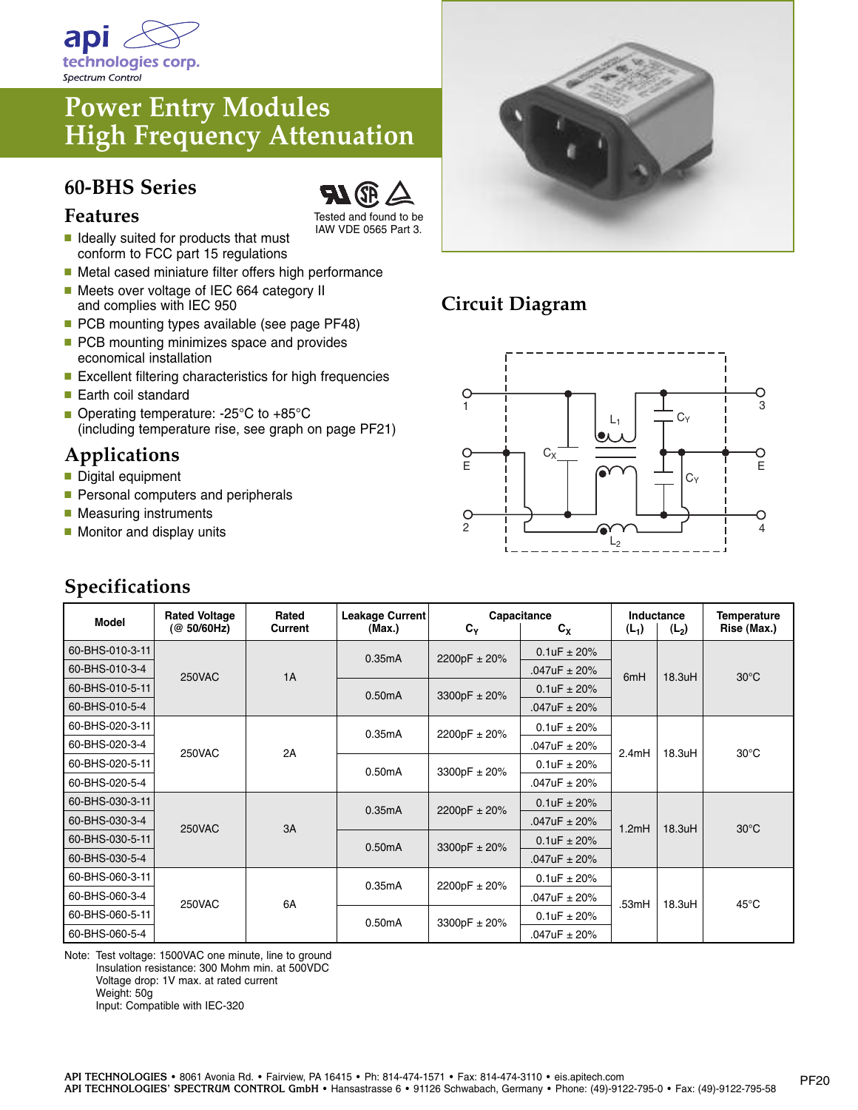

## **Power Entry Modules High Frequency Attenuation**

#### **60-BHS Series**



- Tested and found to be IAW VDE 0565 Part 3.
- **■** Ideally suited for products that must conform to FCC part 15 regulations
- Metal cased miniature filter offers high performance ■ Meets over voltage of IEC 664 category II
- and complies with IEC 950 ■ PCB mounting types available (see page PF48)
- PCB mounting minimizes space and provides economical installation
- Excellent filtering characteristics for high frequencies
- Earth coil standard
- Operating temperature: -25°C to +85°C (including temperature rise, see graph on page PF21)

### **Applications**

- Digital equipment
- Personal computers and peripherals
- Measuring instruments
- Monitor and display units

### **Specifications**



## **Circuit Diagram**



| <b>Model</b>    | <b>Rated Voltage</b><br>(@ 50/60Hz) | Rated<br>Current | Leakage Current<br>(Max.) | Capacitance<br>$C_{Y}$<br>$c_{x}$ |                       | Inductance<br>$(L_2)$<br>$(L_1)$ |        | <b>Temperature</b><br>Rise (Max.) |
|-----------------|-------------------------------------|------------------|---------------------------|-----------------------------------|-----------------------|----------------------------------|--------|-----------------------------------|
| 60-BHS-010-3-11 | <b>250VAC</b>                       | 1A               | 0.35mA                    | 2200pF ± 20%                      | $0.1uF \pm 20%$       | 6mH                              | 18.3uH | $30^{\circ}$ C                    |
| 60-BHS-010-3-4  |                                     |                  |                           |                                   | $.047uF \pm 20%$      |                                  |        |                                   |
| 60-BHS-010-5-11 |                                     |                  | 0.50mA                    | 3300pF $\pm$ 20%                  | $0.1 uF \pm 20%$      |                                  |        |                                   |
| 60-BHS-010-5-4  |                                     |                  |                           |                                   | $.047uF \pm 20%$      |                                  |        |                                   |
| 60-BHS-020-3-11 | <b>250VAC</b>                       | 2A               | 0.35mA                    | 2200pF ± 20%                      | $0.1uF \pm 20%$       | 2.4mH                            | 18.3uH | $30^{\circ}$ C                    |
| 60-BHS-020-3-4  |                                     |                  |                           |                                   | $.047uF \pm 20\%$     |                                  |        |                                   |
| 60-BHS-020-5-11 |                                     |                  | 0.50mA                    | 3300pF ± 20%                      | $0.1 uF \pm 20%$      |                                  |        |                                   |
| 60-BHS-020-5-4  |                                     |                  |                           |                                   | $.047$ u $F \pm 20\%$ |                                  |        |                                   |
| 60-BHS-030-3-11 | <b>250VAC</b>                       | 3A               | 0.35mA                    | 2200pF ± 20%                      | $0.1uF \pm 20%$       | 1.2mH                            | 18.3uH | $30^{\circ}$ C                    |
| 60-BHS-030-3-4  |                                     |                  |                           |                                   | $.047uF \pm 20%$      |                                  |        |                                   |
| 60-BHS-030-5-11 |                                     |                  | 0.50mA                    | 3300pF $\pm$ 20%                  | $0.1 uF \pm 20%$      |                                  |        |                                   |
| 60-BHS-030-5-4  |                                     |                  |                           |                                   | $.047uF \pm 20%$      |                                  |        |                                   |
| 60-BHS-060-3-11 | <b>250VAC</b>                       | 6A               | 0.35mA                    | 2200pF ± 20%                      | $0.1uF \pm 20%$       | .53mH                            | 18.3uH | $45^{\circ}$ C                    |
| 60-BHS-060-3-4  |                                     |                  |                           |                                   | $.047uF \pm 20%$      |                                  |        |                                   |
| 60-BHS-060-5-11 |                                     |                  | 0.50mA                    | 3300pF ± 20%                      | $0.1uF \pm 20%$       |                                  |        |                                   |
| 60-BHS-060-5-4  |                                     |                  |                           |                                   | $.047uF \pm 20%$      |                                  |        |                                   |

Note: Test voltage: 1500VAC one minute, line to ground Insulation resistance: 300 Mohm min. at 500VDC Voltage drop: 1V max. at rated current Weight: 50g Input: Compatible with IEC-320